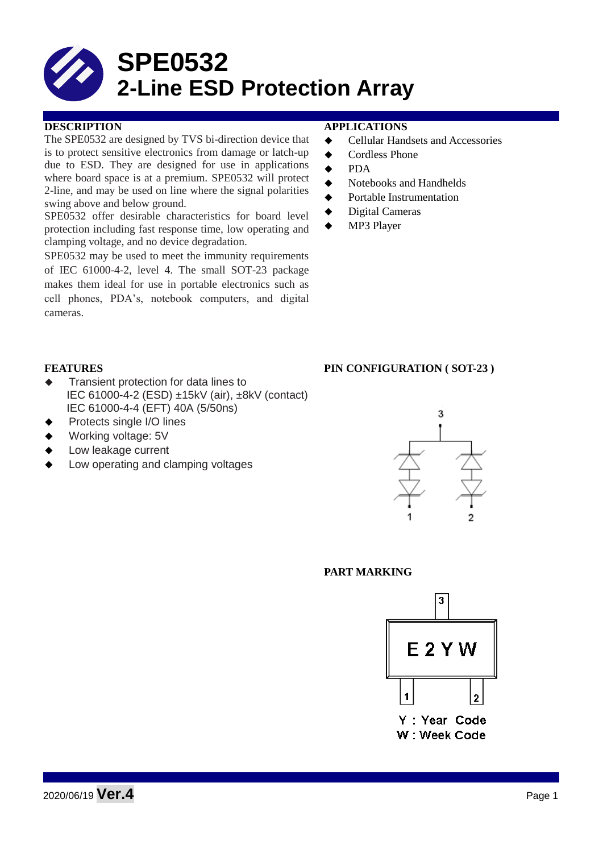# **SPE0532 2-Line ESD Protection Array**

The SPE0532 are designed by TVS bi-direction device that is to protect sensitive electronics from damage or latch-up due to ESD. They are designed for use in applications where board space is at a premium. SPE0532 will protect 2-line, and may be used on line where the signal polarities swing above and below ground.

SPE0532 offer desirable characteristics for board level protection including fast response time, low operating and clamping voltage, and no device degradation.

SPE0532 may be used to meet the immunity requirements of IEC 61000-4-2, level 4. The small SOT-23 package makes them ideal for use in portable electronics such as cell phones, PDA's, notebook computers, and digital cameras.

#### **DESCRIPTION APPLICATIONS**

- **←** Cellular Handsets and Accessories
- ◆ Cordless Phone
- $\bullet$  PDA
- Notebooks and Handhelds
- Portable Instrumentation
- ◆ Digital Cameras
- MP3 Player

- **Transient protection for data lines to** IEC 61000-4-2 (ESD) ±15kV (air), ±8kV (contact) IEC 61000-4-4 (EFT) 40A (5/50ns)
- Protects single I/O lines
- Working voltage: 5V
- Low leakage current
- Low operating and clamping voltages

# **FEATURES PIN CONFIGURATION ( SOT-23 )**



## **PART MARKING**

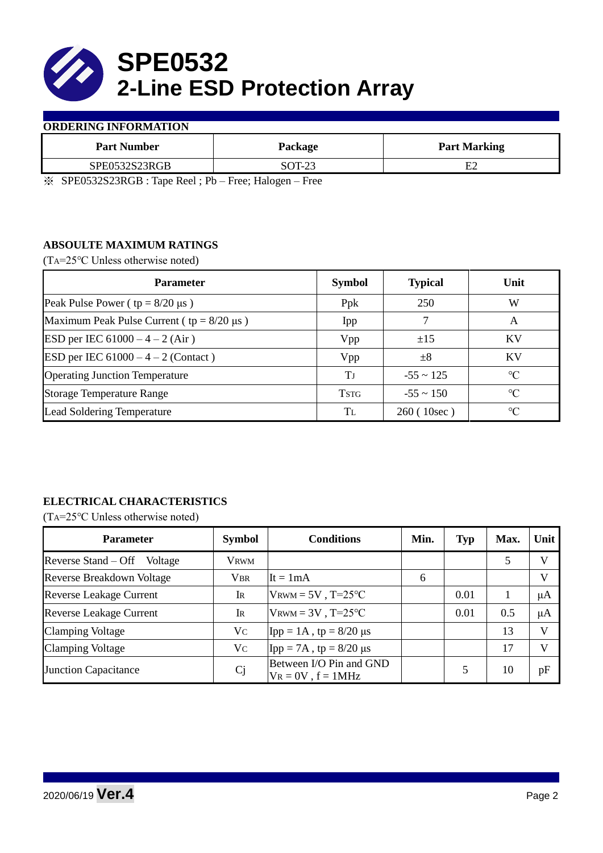

### **ORDERING INFORMATION**

| Package | <b>Part Marking</b> |
|---------|---------------------|
| SOT-23  | Ε2                  |
|         |                     |

※ SPE0532S23RGB : Tape Reel ; Pb – Free; Halogen – Free

# **ABSOULTE MAXIMUM RATINGS**

(TA=25℃ Unless otherwise noted)

| <b>Parameter</b>                                 | <b>Symbol</b> | <b>Typical</b> | Unit            |
|--------------------------------------------------|---------------|----------------|-----------------|
| Peak Pulse Power ( $tp = 8/20 \mu s$ )           | Ppk           | 250            | W               |
| Maximum Peak Pulse Current ( $tp = 8/20 \mu s$ ) | Ipp           |                | A               |
| ESD per IEC $61000 - 4 - 2$ (Air)                | Vpp           | ±15            | <b>KV</b>       |
| <b>ESD</b> per IEC $61000 - 4 - 2$ (Contact)     | Vpp           | $\pm 8$        | KV              |
| <b>Operating Junction Temperature</b>            | Tј            | $-55 \sim 125$ | $\rm ^{\circ}C$ |
| <b>Storage Temperature Range</b>                 | <b>TSTG</b>   | $-55 \sim 150$ | $\rm ^{\circ}C$ |
| Lead Soldering Temperature                       | Tī.           | 260 (10sec)    | $\rm ^{\circ}C$ |

# **ELECTRICAL CHARACTERISTICS**

(TA=25℃ Unless otherwise noted)

| <b>Parameter</b>                 | <b>Symbol</b>  | <b>Conditions</b>                                  | Min. | <b>Typ</b> | Max. | Unit         |
|----------------------------------|----------------|----------------------------------------------------|------|------------|------|--------------|
| Reverse Stand – Off<br>Voltage   | <b>VRWM</b>    |                                                    |      |            | 5    | V            |
| <b>Reverse Breakdown Voltage</b> | <b>VBR</b>     | It = $1mA$                                         | 6    |            |      | $\mathbf{V}$ |
| <b>Reverse Leakage Current</b>   | IR             | $V_{\text{RWM}} = 5V$ , T=25°C                     |      | 0.01       |      | μA           |
| <b>Reverse Leakage Current</b>   | IR             | $V_{\text{RWM}} = 3V$ , T=25°C                     |      | 0.01       | 0.5  | μA           |
| <b>Clamping Voltage</b>          | Vc             | Ipp = $1A$ , tp = $8/20 \mu s$                     |      |            | 13   | $\mathbf{V}$ |
| <b>Clamping Voltage</b>          | Vc             | Ipp = 7A, tp = $8/20 \mu s$                        |      |            | 17   | $\mathbf{V}$ |
| <b>Junction Capacitance</b>      | C <sub>j</sub> | Between I/O Pin and GND<br>$V_R = 0V$ , $f = 1MHz$ |      |            | 10   | pF           |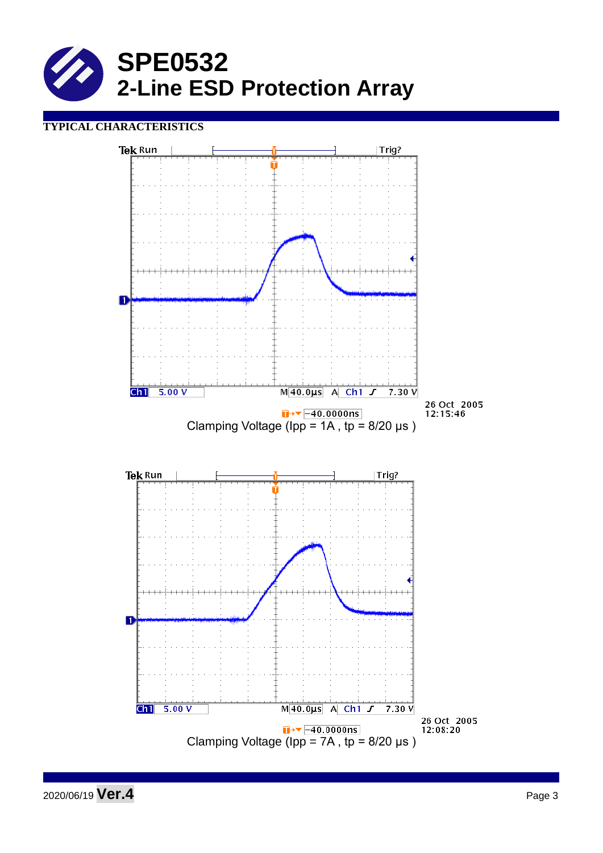

# **TYPICAL CHARACTERISTICS**



2020/06/19 **Ver.4** Page 3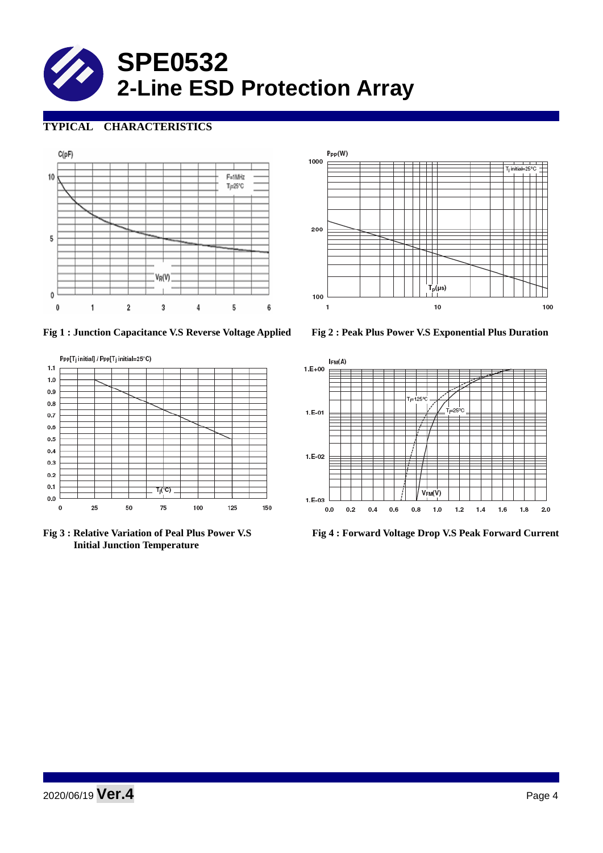

# **TYPICAL CHARACTERISTICS**



 $P_{PP}(W)$ 1000 200 100  $10$  $\mathbf{1}$ 100

**Fig 1 : Junction Capacitance V.S Reverse Voltage Applied Fig 2 : Peak Plus Power V.S Exponential Plus Duration**



 **Initial Junction Temperature** 



**Fig 3 : Relative Variation of Peal Plus Power V.S Fig 4 : Forward Voltage Drop V.S Peak Forward Current**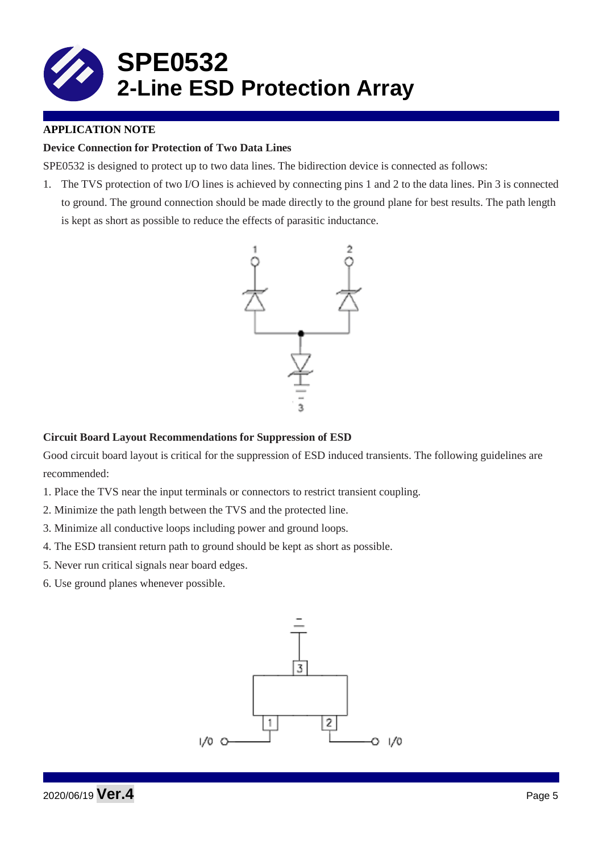

## **APPLICATION NOTE**

## **Device Connection for Protection of Two Data Lines**

SPE0532 is designed to protect up to two data lines. The bidirection device is connected as follows:

1. The TVS protection of two I/O lines is achieved by connecting pins 1 and 2 to the data lines. Pin 3 is connected to ground. The ground connection should be made directly to the ground plane for best results. The path length is kept as short as possible to reduce the effects of parasitic inductance.



#### **Circuit Board Layout Recommendations for Suppression of ESD**

Good circuit board layout is critical for the suppression of ESD induced transients. The following guidelines are recommended:

- 1. Place the TVS near the input terminals or connectors to restrict transient coupling.
- 2. Minimize the path length between the TVS and the protected line.
- 3. Minimize all conductive loops including power and ground loops.
- 4. The ESD transient return path to ground should be kept as short as possible.
- 5. Never run critical signals near board edges.
- 6. Use ground planes whenever possible.